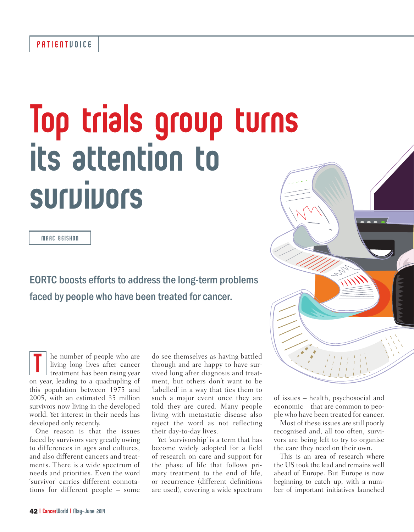# Top trials group turns its attention to survivors

MARC BEISHON

EORTC boosts efforts to address the long-term problems faced by people who have been treated for cancer.

he number of people who are living long lives after cancer treatment has been rising year I he number of people who are living long lives after cancer treatment has been rising year on year, leading to a quadrupling of this population between 1975 and 2005, with an estimated 35 million survivors now living in the developed world. Yet interest in their needs has developed only recently.

One reason is that the issues faced by survivors vary greatly owing to differences in ages and cultures, and also different cancers and treatments. There is a wide spectrum of needs and priorities. Even the word 'survivor' carries different connotations for different people – some

do see themselves as having battled through and are happy to have survived long after diagnosis and treatment, but others don't want to be 'labelled' in a way that ties them to such a major event once they are told they are cured. Many people living with metastatic disease also reject the word as not reflecting their day-to-day lives.

Yet 'survivorship' is a term that has become widely adopted for a field of research on care and support for the phase of life that follows primary treatment to the end of life, or recurrence (different definitions are used), covering a wide spectrum

of issues – health, psychosocial and economic – that are common to people who have been treated for cancer.

Most of these issues are still poorly recognised and, all too often, survivors are being left to try to organise the care they need on their own.

This is an area of research where the US took the lead and remains well ahead of Europe. But Europe is now beginning to catch up, with a number of important initiatives launched

**ANY**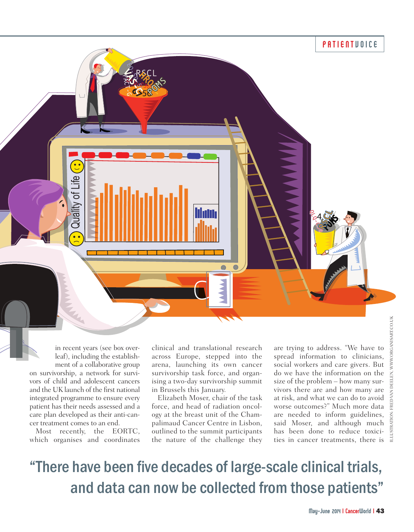

in recent years (see box overleaf), including the establishment of a collaborative group on survivorship, a network for survivors of child and adolescent cancers and the UK launch of the first national integrated programme to ensure every patient has their needs assessed and a care plan developed as their anti-cancer treatment comes to an end.

Most recently, the EORTC, which organises and coordinates

clinical and translational research across Europe, stepped into the arena, launching its own cancer survivorship task force, and organising a two-day survivorship summit in Brussels this January.

Elizabeth Moser, chair of the task force, and head of radiation oncology at the breast unit of the Champalimaud Cancer Centre in Lisbon, outlined to the summit participants the nature of the challenge they

are trying to address. "We have to spread information to clinicians, social workers and care givers. But do we have the information on the size of the problem – how many survivors there are and how many are at risk, and what we can do to avoid worse outcomes?" Much more data are needed to inform guidelines, said Moser, and although much has been done to reduce toxicities in cancer treatments, there is  $\frac{3}{4}$ 

### "There have been five decades of large-scale clinical trials, and data can now be collected from those patients"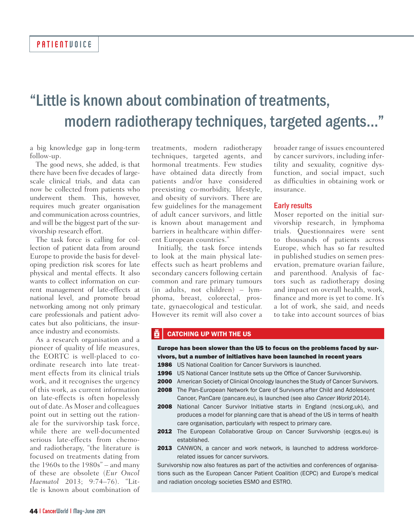## "Little is known about combination of treatments, modern radiotherapy techniques, targeted agents..."

a big knowledge gap in long-term follow-up.

The good news, she added, is that there have been five decades of largescale clinical trials, and data can now be collected from patients who underwent them. This, however, requires much greater organisation and communication across countries, and will be the biggest part of the survivorship research effort.

The task force is calling for collection of patient data from around Europe to provide the basis for developing prediction risk scores for late physical and mental effects. It also wants to collect information on current management of late-effects at national level, and promote broad networking among not only primary care professionals and patient advocates but also politicians, the insurance industry and economists.

As a research organisation and a pioneer of quality of life measures, the EORTC is well-placed to coordinate research into late treatment effects from its clinical trials work, and it recognises the urgency of this work, as current information on late-effects is often hopelessly out of date. As Moser and colleagues point out in setting out the rationale for the survivorship task force, while there are well-documented serious late-effects from chemoand radiotherapy, "the literature is focused on treatments dating from the 1960s to the 1980s" – and many of these are obsolete (*Eur Oncol Haematol* 2013; 9:74–76). "Little is known about combination of

treatments, modern radiotherapy techniques, targeted agents, and hormonal treatments. Few studies have obtained data directly from patients and/or have considered preexisting co-morbidity, lifestyle, and obesity of survivors. There are few guidelines for the management of adult cancer survivors, and little is known about management and barriers in healthcare within different European countries."

Initially, the task force intends to look at the main physical lateeffects such as heart problems and secondary cancers following certain common and rare primary tumours (in adults, not children) – lymphoma, breast, colorectal, prostate, gynaecological and testicular. However its remit will also cover a

broader range of issues encountered by cancer survivors, including infertility and sexuality, cognitive dysfunction, and social impact, such as difficulties in obtaining work or insurance.

#### Early results

Moser reported on the initial survivorship research, in lymphoma trials. Questionnaires were sent to thousands of patients across Europe, which has so far resulted in published studies on semen preservation, premature ovarian failure, and parenthood. Analysis of factors such as radiotherapy dosing and impact on overall health, work, finance and more is yet to come. It's a lot of work, she said, and needs to take into account sources of bias

### CATCHING UP WITH THE US

Europe has been slower than the US to focus on the problems faced by survivors, but a number of initiatives have been launched in recent years

- 1986 US National Coalition for Cancer Survivors is launched.
- 1996 US National Cancer Institute sets up the Office of Cancer Survivorship.
- **2000** American Society of Clinical Oncology launches the Study of Cancer Survivors.
- **2008** The Pan-European Network for Care of Survivors after Child and Adolescent Cancer, PanCare (pancare.eu), is launched (see also Cancer World 2014).
- 2008 National Cancer Survivor Initiative starts in England (ncsi.org.uk), and produces a model for planning care that is ahead of the US in terms of health care organisation, particularly with respect to primary care.
- 2012 The European Collaborative Group on Cancer Survivorship (ecgcs.eu) is established.
- 2013 CANWON, a cancer and work network, is launched to address workforcerelated issues for cancer survivors.

Survivorship now also features as part of the activities and conferences of organisations such as the European Cancer Patient Coalition (ECPC) and Europe's medical and radiation oncology societies ESMO and ESTRO.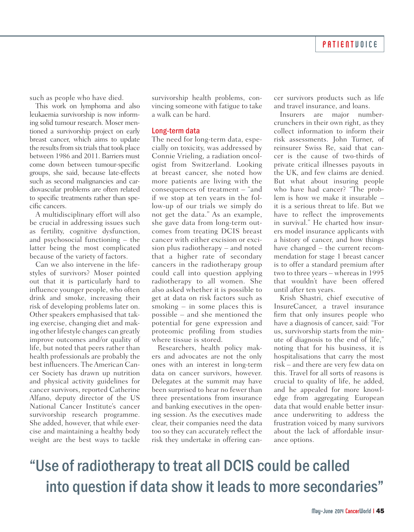such as people who have died.

This work on lymphoma and also leukaemia survivorship is now informing solid tumour research. Moser mentioned a survivorship project on early breast cancer, which aims to update the results from six trials that took place between 1986 and 2011. Barriers must come down between tumour-specific groups, she said, because late-effects such as second malignancies and cardiovascular problems are often related to specific treatments rather than specific cancers.

A multidisciplinary effort will also be crucial in addressing issues such as fertility, cognitive dysfunction, and psychosocial functioning – the latter being the most complicated because of the variety of factors.

Can we also intervene in the lifestyles of survivors? Moser pointed out that it is particularly hard to influence younger people, who often drink and smoke, increasing their risk of developing problems later on. Other speakers emphasised that taking exercise, changing diet and making other lifestyle changes can greatly improve outcomes and/or quality of life, but noted that peers rather than health professionals are probably the best influencers. The American Cancer Society has drawn up nutrition and physical activity guidelines for cancer survivors, reported Catherine Alfano, deputy director of the US National Cancer Institute's cancer survivorship research programme. She added, however, that while exercise and maintaining a healthy body weight are the best ways to tackle

survivorship health problems, convincing someone with fatigue to take a walk can be hard.

### Long-term data

The need for long-term data, especially on toxicity, was addressed by Connie Vrieling, a radiation oncologist from Switzerland. Looking at breast cancer, she noted how more patients are living with the consequences of treatment – "and if we stop at ten years in the follow-up of our trials we simply do not get the data." As an example, she gave data from long-term outcomes from treating DCIS breast cancer with either excision or excision plus radiotherapy – and noted that a higher rate of secondary cancers in the radiotherapy group could call into question applying radiotherapy to all women. She also asked whether it is possible to get at data on risk factors such as smoking – in some places this is possible – and she mentioned the potential for gene expression and proteomic profiling from studies where tissue is stored.

Researchers, health policy makers and advocates are not the only ones with an interest in long-term data on cancer survivors, however. Delegates at the summit may have been surprised to hear no fewer than three presentations from insurance and banking executives in the opening session. As the executives made clear, their companies need the data too so they can accurately reflect the risk they undertake in offering cancer survivors products such as life and travel insurance, and loans.

Insurers are major numbercrunchers in their own right, as they collect information to inform their risk assessments. John Turner, of reinsurer Swiss Re, said that cancer is the cause of two-thirds of private critical illnesses payouts in the UK, and few claims are denied. But what about insuring people who have had cancer? "The problem is how we make it insurable – it is a serious threat to life. But we have to reflect the improvements in survival." He charted how insurers model insurance applicants with a history of cancer, and how things have changed – the current recommendation for stage 1 breast cancer is to offer a standard premium after two to three years – whereas in 1995 that wouldn't have been offered until after ten years.

Krish Shastri, chief executive of InsureCancer, a travel insurance firm that only insures people who have a diagnosis of cancer, said: "For us, survivorship starts from the minute of diagnosis to the end of life," noting that for his business, it is hospitalisations that carry the most risk – and there are very few data on this. Travel for all sorts of reasons is crucial to quality of life, he added, and he appealed for more knowledge from aggregating European data that would enable better insurance underwriting to address the frustration voiced by many survivors about the lack of affordable insurance options.

### "Use of radiotherapy to treat all DCIS could be called into question if data show it leads to more secondaries"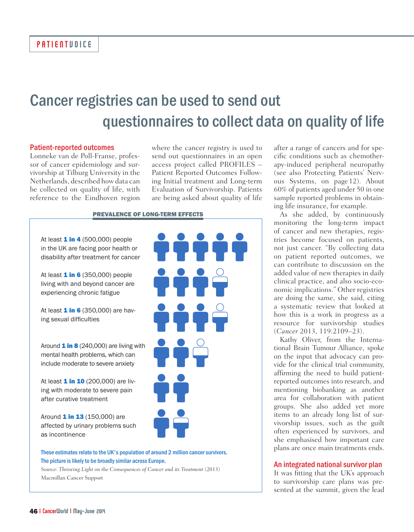### Cancer registries can be used to send out questionnaires to collect data on quality of life

#### Patient-reported outcomes

Lonneke van de Poll-Franse, professor of cancer epidemiology and survivorship at Tilburg University in the Netherlands, described how data can be collected on quality of life, with reference to the Eindhoven region

where the cancer registry is used to send out questionnaires in an open access project called PROFILES – Patient Reported Outcomes Following Initial treatment and Long-term Evaluation of Survivorship. Patients are being asked about quality of life

itté

PÊÊ

ìċ

#### PREVALENCE OF LONG-TERM EFFECTS

At least  $1$  in  $4$  (500,000) people in the UK are facing poor health or disability after treatment for cancer

At least  $1$  in 6 (350,000) people living with and beyond cancer are experiencing chronic fatigue

At least  $1$  in 6 (350,000) are having sexual difficulties

Around  $1 in 8 (240,000)$  are living with mental health problems, which can include moderate to severe anxiety

At least 1 in 10 (200,000) are living with moderate to severe pain after curative treatment

Around 1 in 13 (150,000) are affected by urinary problems such as incontinence

#### These estimates relate to the UK's population of around 2 million cancer survivors. The picture is likely to be broadly similar across Europe.

*Source: Throwing Light on the Consequences of Cancer and its Treatment* (2013) Macmillan Cancer Support

after a range of cancers and for specific conditions such as chemotherapy-induced peripheral neuropathy (see also Protecting Patients' Nervous Systems, on page 12). About 60% of patients aged under 50 in one sample reported problems in obtaining life insurance, for example.

As she added, by continuously monitoring the long-term impact of cancer and new therapies, registries become focused on patients, not just cancer. "By collecting data on patient reported outcomes, we can contribute to discussion on the added value of new therapies in daily clinical practice, and also socio-economic implications." Other registries are doing the same, she said, citing a systematic review that looked at how this is a work in progress as a resource for survivorship studies (*Cancer* 2013, 119:2109–23).

Kathy Oliver, from the International Brain Tumour Alliance, spoke on the input that advocacy can provide for the clinical trial community, affirming the need to build patientreported outcomes into research, and mentioning biobanking as another area for collaboration with patient groups. She also added yet more items to an already long list of survivorship issues, such as the guilt often experienced by survivors, and she emphasised how important care plans are once main treatments ends.

#### An integrated national survivor plan

It was fitting that the UK's approach to survivorship care plans was presented at the summit, given the lead